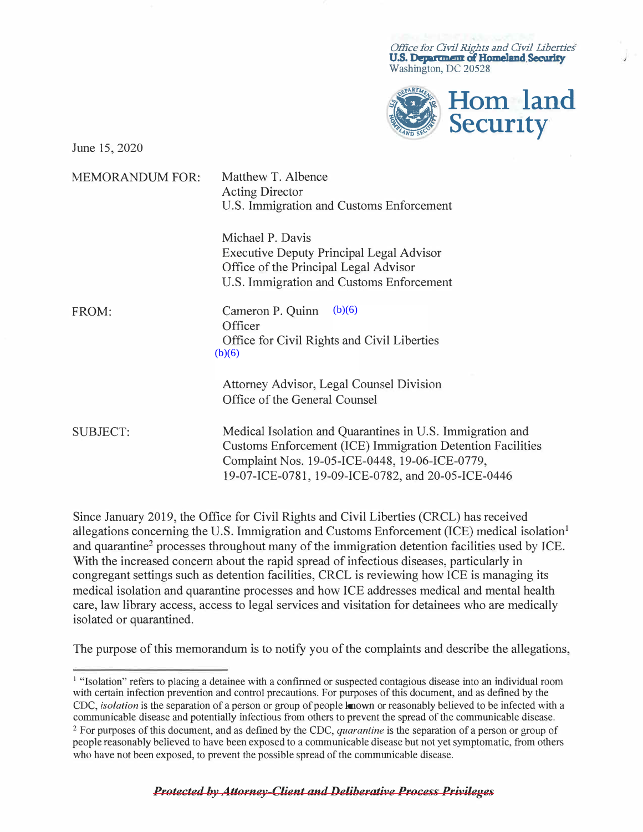*Office for Civil Rights and Civil liberties*  U.S. Department of Homeland Security Washington, DC 20528



June 15, 2020

| <b>MEMORANDUM FOR:</b> | Matthew T. Albence<br><b>Acting Director</b><br>U.S. Immigration and Customs Enforcement                                                                                                                                        |
|------------------------|---------------------------------------------------------------------------------------------------------------------------------------------------------------------------------------------------------------------------------|
|                        | Michael P. Davis<br><b>Executive Deputy Principal Legal Advisor</b><br>Office of the Principal Legal Advisor<br>U.S. Immigration and Customs Enforcement                                                                        |
| FROM:                  | (b)(6)<br>Cameron P. Quinn<br>Officer<br>Office for Civil Rights and Civil Liberties<br>(b)(6)                                                                                                                                  |
|                        | Attorney Advisor, Legal Counsel Division<br>Office of the General Counsel                                                                                                                                                       |
| <b>SUBJECT:</b>        | Medical Isolation and Quarantines in U.S. Immigration and<br>Customs Enforcement (ICE) Immigration Detention Facilities<br>Complaint Nos. 19-05-ICE-0448, 19-06-ICE-0779,<br>19-07-ICE-0781, 19-09-ICE-0782, and 20-05-ICE-0446 |

Since January 2019, the Office for Civil Rights and Civil Liberties (CRCL) has received allegations concerning the U.S. Immigration and Customs Enforcement (ICE) medical isolation<sup>1</sup> and quarantine<sup>2</sup> processes throughout many of the immigration detention facilities used by ICE. With the increased concern about the rapid spread of infectious diseases, particularly in congregant settings such as detention facilities, CRCL is reviewing how ICE is managing its medical isolation and quarantine processes and how ICE addresses medical and mental health care, law library access, access to legal services and visitation for detainees who are medically isolated or quarantined.

The purpose of this memorandum is to notify you of the complaints and describe the allegations,

<sup>&</sup>lt;sup>1</sup> "Isolation" refers to placing a detainee with a confirmed or suspected contagious disease into an individual room with certain infection prevention and control precautions. For purposes of this document, and as defined by the CDC, *isolation* is the separation of a person or group of people known or reasonably believed to be infected with a communicable disease and potentially infectious from others to prevent the spread of the communicable disease. <sup>2</sup>For purposes of this document, and as defined by the CDC, *quarantine* is the separation of a person or group of people reasonably believed to have been exposed to a communicable disease but not yet symptomatic, from others who have not been exposed, to prevent the possible spread of the communicable disease.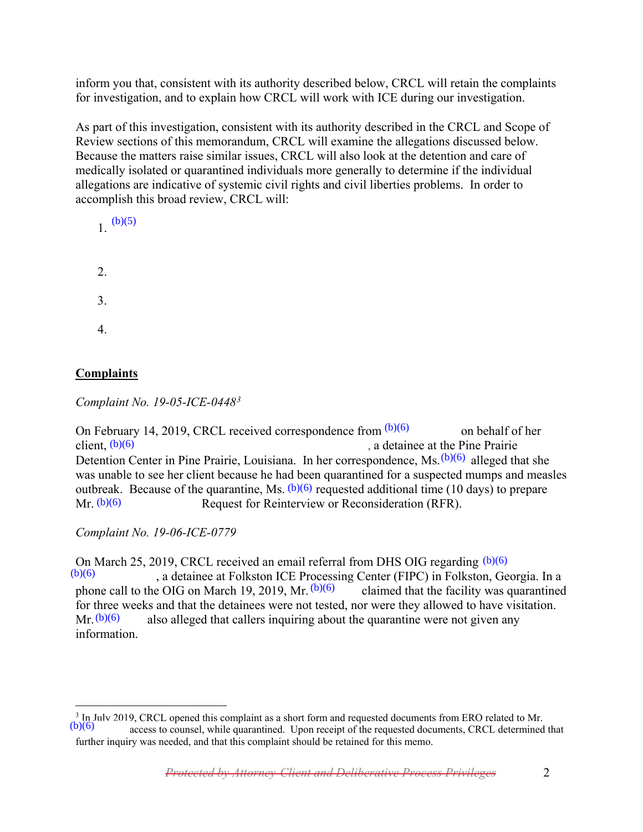inform you that, consistent with its authority described below, CRCL will retain the complaints for investigation, and to explain how CRCL will work with ICE during our investigation.

As part of this investigation, consistent with its authority described in the CRCL and Scope of Review sections of this memorandum, CRCL will examine the allegations discussed below. Because the matters raise similar issues, CRCL will also look at the detention and care of medically isolated or quarantined individuals more generally to determine if the individual allegations are indicative of systemic civil rights and civil liberties problems. In order to accomplish this broad review, CRCL will:



# **Complaints**

*Complaint No. 19-05-ICE-0448[3](#page-1-0)*

On February 14, 2019, CRCL received correspondence from  $(b)(6)$  on behalf of her , a detainee at the Pine Prairie Detention Center in Pine Prairie, Louisiana. In her correspondence, Ms.  $(b)(6)$  alleged that she was unable to see her client because he had been quarantined for a suspected mumps and measles outbreak. Because of the quarantine, Ms.  $(b)(6)$  requested additional time (10 days) to prepare Request for Reinterview or Reconsideration (RFR). client,  $(b)(6)$ a. In her correspondence, Ms.  $(b)(6)$ <br>d been quarantined for a suspected<br> $(b)(6)$  requested additional time (10)  $Mr. (b)(6)$ 

*Complaint No. 19-06-ICE-0779*

On March 25, 2019, CRCL received an email referral from DHS OIG regarding (b)(6) , a detainee at Folkston ICE Processing Center (FIPC) in Folkston, Georgia. In a<br>e OIG on March 19, 2019, Mr.  $(b)(6)$  claimed that the facility was quarantined phone call to the OIG on March 19, 2019, Mr.  $(b)(6)$ for three weeks and that the detainees were not tested, nor were they allowed to have visitation.  $Mr. (b)(6)$  also alleged that callers inquiring about the quarantine were not given any information. On March 25, 2019, CRCL received an email referral from DHS OIG regarding (b)(6)<br>
(b)(6) and detainee at Folkston ICE Processing Center (FIPC) in Folkston, Go<br>
phone call to the OIG on March 19, 2019, Mr. (b)(6) claimed t

<span id="page-1-0"></span> $\overline{a}$  $3$  In July 2019, CRCL opened this complaint as a short form and requested documents from ERO related to Mr.<br>(b)(6) second to councel while quarantined. Upon require of the requested documents CBCL determined

access to counsel, while quarantined. Upon receipt of the requested documents, CRCL determined that further inquiry was needed, and that this complaint should be retained for this memo.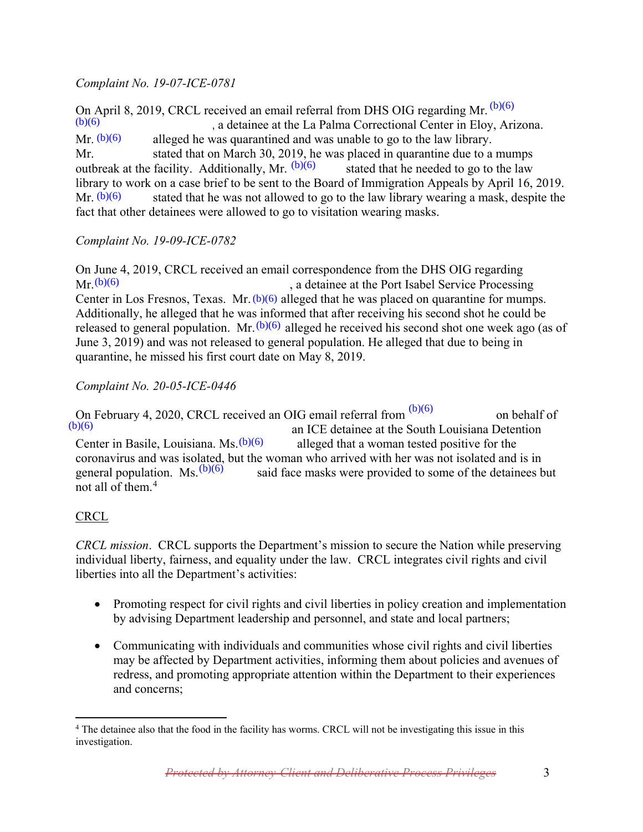### *Complaint No. 19-07-ICE-0781*

On April 8, 2019, CRCL received an email referral from DHS OIG regarding Mr.  $(b)(6)$ , a detainee at the La Palma Correctional Center in Eloy, Arizona. alleged he was quarantined and was unable to go to the law library. Mr. stated that on March 30, 2019, he was placed in quarantine due to a mumps outbreak at the facility. Additionally, Mr.  $(b)(6)$  stated that he needed to go to the law library to work on a case brief to be sent to the Board of Immigration Appeals by April 16, 2019. stated that he was not allowed to go to the law library wearing a mask, despite the fact that other detainees were allowed to go to visitation wearing masks.  $(b)(6)$  $Mr. (b)(6)$  $Mr. (b)(6)$ 

## *Complaint No. 19-09-ICE-0782*

On June 4, 2019, CRCL received an email correspondence from the DHS OIG regarding , a detainee at the Port Isabel Service Processing Center in Los Fresnos, Texas. Mr.  $(b)(6)$  alleged that he was placed on quarantine for mumps. Additionally, he alleged that he was informed that after receiving his second shot he could be released to general population. Mr.  $(b)(6)$  alleged he received his second shot one week ago (as of June 3, 2019) and was not released to general population. He alleged that due to being in quarantine, he missed his first court date on May 8, 2019.  $Mr(b)(6)$ 

### *Complaint No. 20-05-ICE-0446*

On February 4, 2020, CRCL received an OIG email referral from  $\frac{(b)(6)}{(6)}$  on behalf of an ICE detainee at the South Louisiana Detention Center in Basile, Louisiana. Ms.  $\frac{(b)(6)}{(6)}$  alleged that a woman tested positive f an ICE detainee at the South Louisiana Detention alleged that a woman tested positive for the coronavirus and was isolated, but the woman who arrived with her was not isolated and is in general population. Ms.  $(b)(6)$  said face masks were provided to some of the detainees by said face masks were provided to some of the detainees but not all of them.[4](#page-2-0)  $(b)(6)$ Center in Basile, Louisiana.  $Ms.(b)(6)$ 

## **CRCL**

*CRCL mission*. CRCL supports the Department's mission to secure the Nation while preserving individual liberty, fairness, and equality under the law. CRCL integrates civil rights and civil liberties into all the Department's activities:

- Promoting respect for civil rights and civil liberties in policy creation and implementation by advising Department leadership and personnel, and state and local partners;
- Communicating with individuals and communities whose civil rights and civil liberties may be affected by Department activities, informing them about policies and avenues of redress, and promoting appropriate attention within the Department to their experiences and concerns;

<span id="page-2-0"></span> $\overline{a}$ <sup>4</sup> The detainee also that the food in the facility has worms. CRCL will not be investigating this issue in this investigation.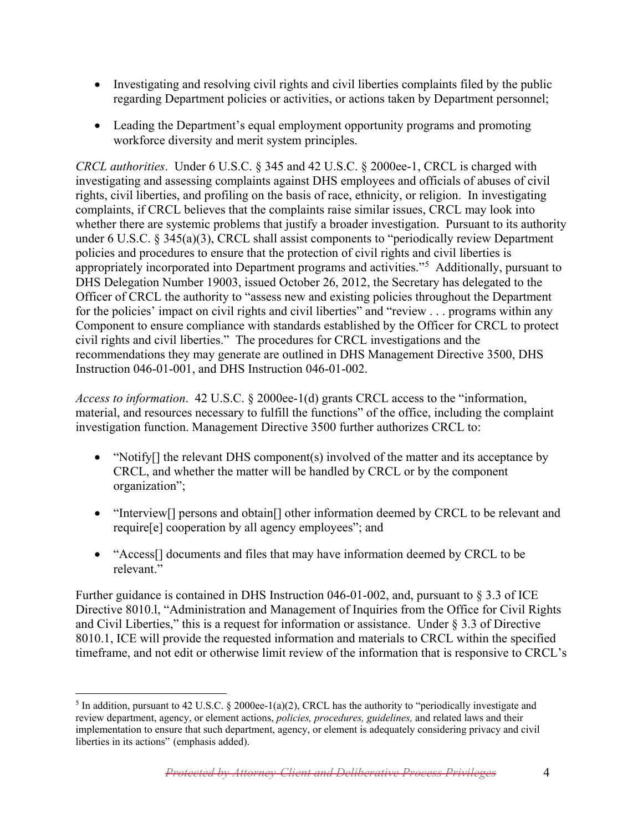- Investigating and resolving civil rights and civil liberties complaints filed by the public regarding Department policies or activities, or actions taken by Department personnel;
- Leading the Department's equal employment opportunity programs and promoting workforce diversity and merit system principles.

*CRCL authorities*. Under 6 U.S.C. § 345 and 42 U.S.C. § 2000ee-1, CRCL is charged with investigating and assessing complaints against DHS employees and officials of abuses of civil rights, civil liberties, and profiling on the basis of race, ethnicity, or religion. In investigating complaints, if CRCL believes that the complaints raise similar issues, CRCL may look into whether there are systemic problems that justify a broader investigation. Pursuant to its authority under 6 U.S.C. § 345(a)(3), CRCL shall assist components to "periodically review Department policies and procedures to ensure that the protection of civil rights and civil liberties is appropriately incorporated into Department programs and activities."<sup>[5](#page-3-0)</sup> Additionally, pursuant to DHS Delegation Number 19003, issued October 26, 2012, the Secretary has delegated to the Officer of CRCL the authority to "assess new and existing policies throughout the Department for the policies' impact on civil rights and civil liberties" and "review . . . programs within any Component to ensure compliance with standards established by the Officer for CRCL to protect civil rights and civil liberties." The procedures for CRCL investigations and the recommendations they may generate are outlined in DHS Management Directive 3500, DHS Instruction 046-01-001, and DHS Instruction 046-01-002.

*Access to information*. 42 U.S.C. § 2000ee-1(d) grants CRCL access to the "information, material, and resources necessary to fulfill the functions" of the office, including the complaint investigation function. Management Directive 3500 further authorizes CRCL to:

- "Notify<sub>[]</sub> the relevant DHS component(s) involved of the matter and its acceptance by CRCL, and whether the matter will be handled by CRCL or by the component organization";
- "Interview<sup>[]</sup> persons and obtain<sup>[]</sup> other information deemed by CRCL to be relevant and require[e] cooperation by all agency employees"; and
- "Access<sup>[]</sup> documents and files that may have information deemed by CRCL to be relevant."

Further guidance is contained in DHS Instruction 046-01-002, and, pursuant to § 3.3 of ICE Directive 8010.l, "Administration and Management of Inquiries from the Office for Civil Rights and Civil Liberties," this is a request for information or assistance. Under § 3.3 of Directive 8010.1, ICE will provide the requested information and materials to CRCL within the specified timeframe, and not edit or otherwise limit review of the information that is responsive to CRCL's

<span id="page-3-0"></span> $\overline{a}$ <sup>5</sup> In addition, pursuant to 42 U.S.C. § 2000ee-1(a)(2), CRCL has the authority to "periodically investigate and review department, agency, or element actions, *policies, procedures, guidelines,* and related laws and their implementation to ensure that such department, agency, or element is adequately considering privacy and civil liberties in its actions" (emphasis added).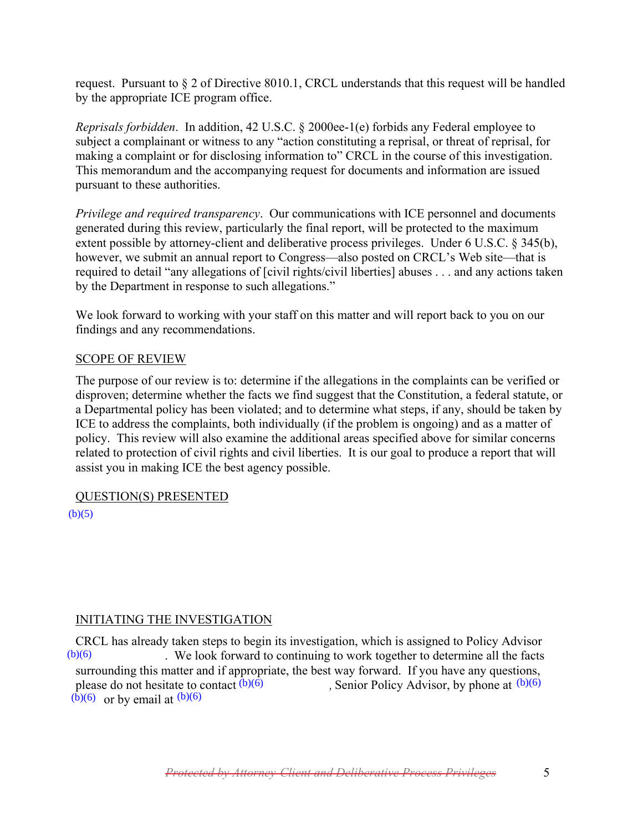request. Pursuant to  $\S 2$  of Directive 8010.1, CRCL understands that this request will be handled by the appropriate ICE program office.

*Reprisals forbidden*. In addition, 42 U.S.C. § 2000ee-1(e) forbids any Federal employee to subject a complainant or witness to any "action constituting a reprisal, or threat of reprisal, for making a complaint or for disclosing information to" CRCL in the course of this investigation. This memorandum and the accompanying request for documents and information are issued pursuant to these authorities.

*Privilege and required transparency*. Our communications with ICE personnel and documents generated during this review, particularly the final report, will be protected to the maximum extent possible by attorney-client and deliberative process privileges. Under 6 U.S.C. § 345(b), however, we submit an annual report to Congress—also posted on CRCL's Web site—that is required to detail "any allegations of [civil rights/civil liberties] abuses . . . and any actions taken by the Department in response to such allegations."

We look forward to working with your staff on this matter and will report back to you on our findings and any recommendations.

### SCOPE OF REVIEW

The purpose of our review is to: determine if the allegations in the complaints can be verified or disproven; determine whether the facts we find suggest that the Constitution, a federal statute, or a Departmental policy has been violated; and to determine what steps, if any, should be taken by ICE to address the complaints, both individually (if the problem is ongoing) and as a matter of policy. This review will also examine the additional areas specified above for similar concerns related to protection of civil rights and civil liberties. It is our goal to produce a report that will assist you in making ICE the best agency possible.

#### QUESTION(S) PRESENTED

 $(b)(5)$ 

## INITIATING THE INVESTIGATION

CRCL has already taken steps to begin its investigation, which is assigned to Policy Advisor . We look forward to continuing to work together to determine all the facts surrounding this matter and if appropriate, the best way forward. If you have any questions, please do not hesitate to contact  $(b)(6)$  $\overline{(\overline{b})(6)}$  or by email at  $\overline{(\overline{b})(6)}$  $(b)(6)$ , Senior Policy Advisor, by phone at  $(b)(6)$